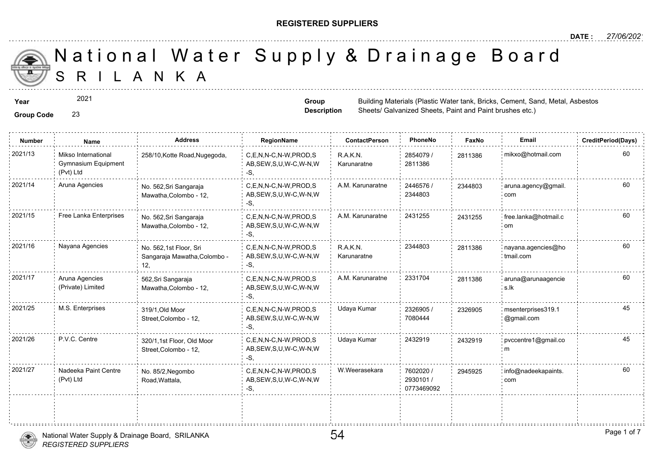#### **REGISTERED SUPPLIERS**

**Group Description**

Sheets/ Galvanized Sheets, Paint and

0773469092

A N K A National Water Supply & Drainage

**Year** Building Materials (Plastic Water tank, Britan Materials (Plastic Water tank, Cement, Sand, Metal, Assembly, Cement, Sand, Group, Cement, Sand, Metal, Assembly, Assembly, Assembly, Assembly, Sand, Metal, Assembly, A

2021

#### **Group Code** 23

**Number Name Address RegionName ContactPerson PhoneNo FaxNo Email CreditPeriod(Days)** 2854079 / 28113 2811386 R.A.K.N. Karunaratne C,E,N,N-C,N-W,PROD,S AB,SEW,S,U,W-C,W-N,W -S, 2021/13 : Mikso International 258/10,Kotte Road,Nugegoda, C,E,N,N-C,N-W,PROD,S R.A.K.N. 2854079 / 281138 Gymnasium Equipment (Pvt) Ltd 2446576 / 2344803 2021/14 Aruna Agencies (No. 562,Sri Sangaraja C,E,N,N-C,N-W,PROD,S A.M. Karunaratne 2446576 / 234480 AB,SEW,S,U,W-C,W-N,W -S, No. 562,Sri Sangaraja Mawatha,Colombo - 12, 234480 2021/15 Free Lanka Enterprises No. 562.Sri Sangaraja C,E,N,N-C,N-W,PROD,S A.M. Karunaratne 2431255 243125 AB,SEW,S,U,W-C,W-N,W -S, No. 562,Sri Sangaraja Mawatha,Colombo - 12, 243125 R.A.K.N. 2344803 281138 Karunaratne 2021/16 Nayana Agencies No. 562.1st Floor, Sri C,E,N,N-C,N-W,PROD,S R.A.K.N. 2344803 281138 AB,SEW,S,U,W-C,W-N,W -S, No. 562,1st Floor, Sri Sangaraja Mawatha,Colombo - 12, 281138 2021/17 Aruna Agencies 662,Sri Sangaraja C,E,N,N-C,N-W,PROD,S A.M. Karunaratne 2331704 281138 AB,SEW,S,U,W-C,W-N,W -S, 562,Sri Sangaraja Mawatha,Colombo - 12, Aruna Agencies (Private) Limited 281138 2326905 / 7080444 2021/25 M.S. Enterprises material of the state of the c,E,N,N-C,N-W,PROD,S Udaya Kumar and 2326905 / 232690 AB,SEW,S,U,W-C,W-N,W -S, 319/1,Old Moor Street,Colombo - 12, 23269 2021/26 P.V.C. Centre 320/1,1st Floor, Old Moor C,E,N,N-C,N-W,PROD,S Udaya Kumar 2432919 24329 AB,SEW,S,U,W-C,W-N,W -S, 320/1,1st Floor, Old Moor Street,Colombo - 12, 24329 7602020 / 2930101 / 2021/27 | Nadeeka Paint Centre | No. 85/2 Negombo | C,E,N,N-C,N-W,PROD,S | W.Weerasekara | 7602020 / | 294592 AB,SEW,S,U,W-C,W-N,W No. 85/2,Negombo Road,Wattala, Nadeeka Paint Centre (Pvt) Ltd 294592

-S,



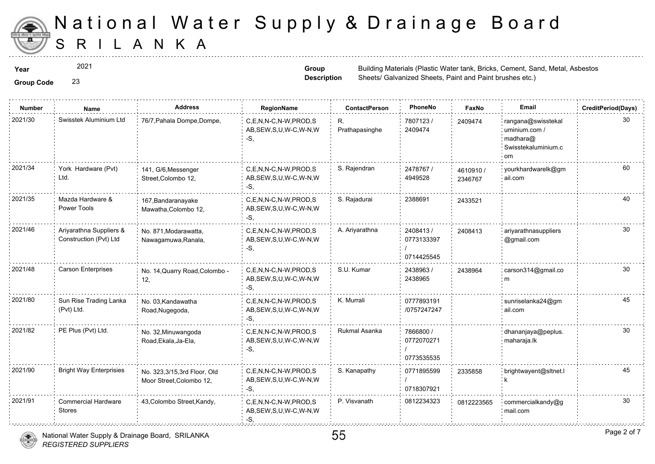

**Group Code** 23

# S R I L A N K A National Water Supply & Drainage

2021

**Group Description**

| <b>Number</b> | <b>Name</b>                                       | <b>Address</b>                                          | RegionName                                                   | <b>ContactPerson</b> | PhoneNo                               | Faxl             |
|---------------|---------------------------------------------------|---------------------------------------------------------|--------------------------------------------------------------|----------------------|---------------------------------------|------------------|
| 2021/30       | Swisstek Aluminium Ltd                            | 76/7, Pahala Dompe, Dompe,                              | C,E,N,N-C,N-W,PROD,S<br>AB, SEW, S, U, W-C, W-N, W<br>-S.    | R.<br>Prathapasinghe | 7807123/<br>2409474                   | 240947           |
| 2021/34       | York Hardware (Pvt)<br>Ltd.                       | 141, G/6, Messenger<br>Street, Colombo 12,              | C.E.N.N-C.N-W.PROD.S<br>AB, SEW, S, U, W-C, W-N, W<br>$-S$ . | S. Rajendran         | 2478767 /<br>4949528                  | 461091<br>234676 |
| 2021/35       | Mazda Hardware &<br>Power Tools                   | 167, Bandaranayake<br>Mawatha, Colombo 12,              | C,E,N,N-C,N-W,PROD,S<br>AB, SEW, S, U, W-C, W-N, W<br>-S.    | S. Rajadurai         | 2388691                               | 243352           |
| 2021/46       | Ariyarathna Suppliers &<br>Construction (Pvt) Ltd | No. 871, Modarawatta,<br>Nawagamuwa, Ranala,            | C.E.N.N-C.N-W.PROD.S<br>AB, SEW, S, U, W-C, W-N, W<br>-S.    | A. Ariyarathna       | 2408413/<br>0773133397<br>0714425545  | 240841           |
| 2021/48       | Carson Enterprises                                | No. 14, Quarry Road, Colombo -<br>12,                   | C,E,N,N-C,N-W,PROD,S<br>AB, SEW, S, U, W-C, W-N, W<br>-S.    | S.U. Kumar           | 2438963 /<br>2438965                  | 243896           |
| 2021/80       | Sun Rise Trading Lanka<br>(Pvt) Ltd.              | No. 03, Kandawatha<br>Road, Nugegoda,                   | C.E.N.N-C.N-W.PROD.S<br>AB, SEW, S, U, W-C, W-N, W<br>-S.    | K. Murrali           | 0777893191<br>/0757247247             |                  |
| 2021/82       | PE Plus (Pvt) Ltd.                                | No. 32, Minuwangoda<br>Road, Ekala, Ja-Ela,             | C,E,N,N-C,N-W,PROD,S<br>AB, SEW, S, U, W-C, W-N, W<br>-S.    | Rukmal Asanka        | 7866800 /<br>0772070271<br>0773535535 |                  |
| 2021/90       | <b>Bright Way Enterprisies</b>                    | No. 323,3/15,3rd Floor, Old<br>Moor Street, Colombo 12, | C,E,N,N-C,N-W,PROD,S<br>AB, SEW, S, U, W-C, W-N, W<br>-S.    | S. Kanapathy         | 0771895599<br>0718307921              | 233585           |
| 2021/91       | <b>Commercial Hardware</b><br><b>Stores</b>       | 43, Colombo Street, Kandy,                              | C.E.N.N-C.N-W.PROD.S<br>AB, SEW, S, U, W-C, W-N, W<br>$-S$ . | P. Visvanath         | 0812234323                            | 081222           |



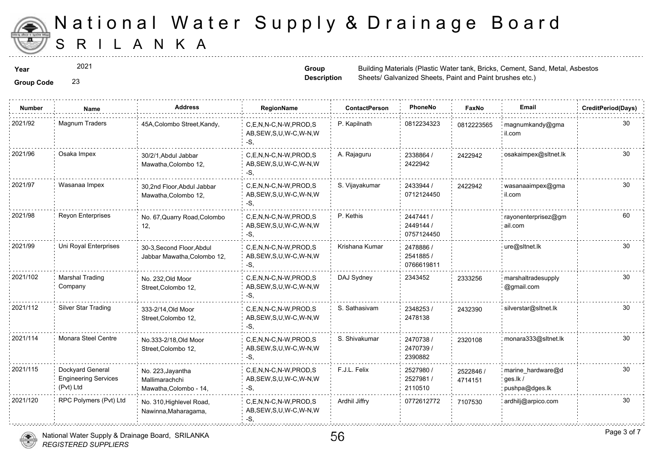

2021

**Group Code** 23

**Group Description**

| <b>Group Code</b> |  |
|-------------------|--|

| <b>Number</b> | Name                                                         | <b>Address</b>                                                | <b>RegionName</b>                                         | <b>ContactPerson</b> | PhoneNo                              | Faxl             |
|---------------|--------------------------------------------------------------|---------------------------------------------------------------|-----------------------------------------------------------|----------------------|--------------------------------------|------------------|
| 2021/92       | Magnum Traders                                               | 45A, Colombo Street, Kandy,                                   | C,E,N,N-C,N-W,PROD,S<br>AB, SEW, S, U, W-C, W-N, W<br>-S. | P. Kapilnath         | 0812234323                           | 081222           |
| 2021/96       | Osaka Impex                                                  | 30/2/1, Abdul Jabbar<br>Mawatha, Colombo 12,                  | C.E.N.N-C.N-W.PROD.S<br>AB, SEW, S, U, W-C, W-N, W<br>-S. | A. Rajaguru          | 2338864 /<br>2422942                 | 242294           |
| 2021/97       | Wasanaa Impex                                                | 30,2nd Floor, Abdul Jabbar<br>Mawatha, Colombo 12,            | C.E.N.N-C.N-W.PROD.S<br>AB, SEW, S, U, W-C, W-N, W<br>-S. | S. Vijayakumar       | 2433944 /<br>0712124450              | 242294           |
| 2021/98       | Reyon Enterprises                                            | No. 67, Quarry Road, Colombo<br>12,                           | C,E,N,N-C,N-W,PROD,S<br>AB, SEW, S, U, W-C, W-N, W<br>-S. | P. Kethis            | 2447441/<br>2449144 /<br>0757124450  |                  |
| 2021/99       | Uni Royal Enterprises                                        | 30-3, Second Floor, Abdul<br>Jabbar Mawatha, Colombo 12,      | C.E.N.N-C.N-W.PROD.S<br>AB, SEW, S, U, W-C, W-N, W<br>-S, | Krishana Kumar       | 2478886 /<br>2541885 /<br>0766619811 |                  |
| 2021/102      | <b>Marshal Trading</b><br>Company                            | No. 232, Old Moor<br>Street, Colombo 12,                      | C.E.N.N-C.N-W.PROD.S<br>AB, SEW, S, U, W-C, W-N, W<br>-S, | DAJ Sydney           | 2343452                              | 233325           |
| 2021/112      | Silver Star Trading                                          | 333-2/14.Old Moor<br>Street, Colombo 12,                      | C,E,N,N-C,N-W,PROD,S<br>AB, SEW, S, U, W-C, W-N, W<br>-S. | S. Sathasivam        | 2348253/<br>2478138                  | 243239           |
| 2021/114      | Monara Steel Centre                                          | No.333-2/18, Old Moor<br>Street, Colombo 12,                  | C,E,N,N-C,N-W,PROD,S<br>AB, SEW, S, U, W-C, W-N, W<br>-S, | S. Shivakumar        | 2470738 /<br>2470739 /<br>2390882    | 232010           |
| 2021/115      | Dockyard General<br><b>Engineering Services</b><br>(Pvt) Ltd | No. 223, Jayantha<br>Mallimarachchi<br>Mawatha, Colombo - 14, | C.E.N.N-C.N-W.PROD.S<br>AB, SEW, S, U, W-C, W-N, W<br>-S, | F.J.L. Felix         | 2527980 /<br>2527981 /<br>2110510    | 252284<br>471415 |
| 2021/120      | RPC Polymers (Pvt) Ltd                                       | No. 310, Highlevel Road,<br>Nawinna, Maharagama,              | C.E.N.N-C.N-W.PROD.S<br>AB, SEW, S, U, W-C, W-N, W<br>-S. | Ardhil Jiffry        | 0772612772                           | 710753           |

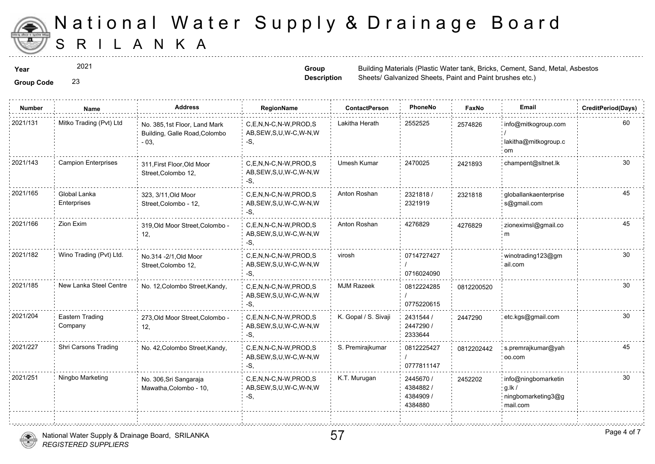

2021

**Group Code** 23

**Group Description**

**Year** Building Materials (Plastic Water tank, Britan Materials (Plastic Water tank, Cement, Sand, Metal, Asbestos Sheets/ Galvanized Sheets, Paint and

| <b>Number</b> | Name                        | <b>Address</b>                                                          | RegionName                                                   | <b>ContactPerson</b> | PhoneNo                                       | Faxl   |
|---------------|-----------------------------|-------------------------------------------------------------------------|--------------------------------------------------------------|----------------------|-----------------------------------------------|--------|
| 2021/131      | Mitko Trading (Pvt) Ltd     | No. 385,1st Floor, Land Mark<br>Building, Galle Road, Colombo<br>$-03,$ | C,E,N,N-C,N-W,PROD,S<br>AB, SEW, S, U, W-C, W-N, W<br>$-S$ , | Lakitha Herath       | 2552525                                       | 257482 |
| 2021/143      | <b>Campion Enterprises</b>  | 311, First Floor, Old Moor<br>Street, Colombo 12,                       | C,E,N,N-C,N-W,PROD,S<br>AB, SEW, S, U, W-C, W-N, W<br>-S,    | Umesh Kumar          | 2470025                                       | 242189 |
| 2021/165      | Global Lanka<br>Enterprises | 323, 3/11, Old Moor<br>Street, Colombo - 12,                            | C.E.N.N-C.N-W.PROD.S<br>AB, SEW, S, U, W-C, W-N, W<br>-S,    | Anton Roshan         | 2321818/<br>2321919                           | 232181 |
| 2021/166      | Zion Exim                   | 319, Old Moor Street, Colombo -<br>12,                                  | C,E,N,N-C,N-W,PROD,S<br>AB, SEW, S, U, W-C, W-N, W<br>-S,    | Anton Roshan         | 4276829                                       | 427682 |
| 2021/182      | Wino Trading (Pvt) Ltd.     | No.314 - 2/1, Old Moor<br>Street, Colombo 12,                           | C.E.N.N-C.N-W.PROD.S<br>AB, SEW, S, U, W-C, W-N, W<br>$-S$ , | virosh               | 0714727427<br>0716024090                      |        |
| 2021/185      | New Lanka Steel Centre      | No. 12, Colombo Street, Kandy,                                          | C,E,N,N-C,N-W,PROD,S<br>AB, SEW, S, U, W-C, W-N, W<br>$-S$ , | <b>MJM Razeek</b>    | 0812224285<br>0775220615                      | 081220 |
| 2021/204      | Eastern Trading<br>Company  | 273, Old Moor Street, Colombo -<br>12,                                  | C.E.N.N-C.N-W.PROD.S<br>AB, SEW, S, U, W-C, W-N, W<br>$-S$ . | K. Gopal / S. Sivaji | 2431544 /<br>2447290 /<br>2333644             | 244729 |
| 2021/227      | Shri Carsons Trading        | No. 42, Colombo Street, Kandy,                                          | C,E,N,N-C,N-W,PROD,S<br>AB, SEW, S, U, W-C, W-N, W<br>$-S,$  | S. Premirajkumar     | 0812225427<br>0777811147                      | 081220 |
| 2021/251      | Ningbo Marketing            | No. 306, Sri Sangaraja<br>Mawatha, Colombo - 10,                        | C.E.N.N-C.N-W.PROD.S<br>AB, SEW, S, U, W-C, W-N, W<br>$-S$ . | K.T. Murugan         | 2445670 /<br>4384882/<br>4384909 /<br>4384880 | 245220 |

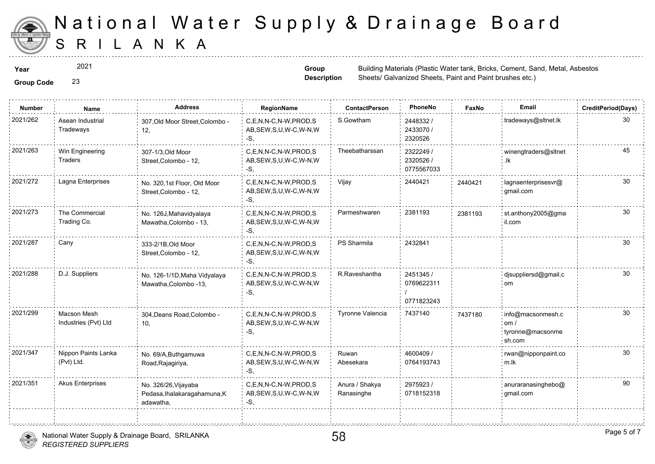

2021

**Group Code** 23

**Group Description**

| <b>Group Code</b> |  |
|-------------------|--|
|-------------------|--|

| <b>Number</b> | Name                                | <b>Address</b>                                                    | <b>RegionName</b>                                            | <b>ContactPerson</b>         | PhoneNo                               | Faxl   |
|---------------|-------------------------------------|-------------------------------------------------------------------|--------------------------------------------------------------|------------------------------|---------------------------------------|--------|
| 2021/262      | Asean Industrial<br>Tradeways       | 307, Old Moor Street, Colombo -<br>12,                            | C,E,N,N-C,N-W,PROD,S<br>AB, SEW, S, U, W-C, W-N, W<br>-S,    | S.Gowtham                    | 2448332 /<br>2433070 /<br>2320526     |        |
| 2021/263      | Win Engineering<br>Traders          | 307-1/3, Old Moor<br>Street, Colombo - 12,                        | C,E,N,N-C,N-W,PROD,S<br>AB, SEW, S, U, W-C, W-N, W<br>-S,    | Theebatharssan               | 2322249 /<br>2320526 /<br>0775567033  |        |
| 2021/272      | Lagna Enterprises                   | No. 320,1st Floor, Old Moor<br>Street, Colombo - 12,              | C,E,N,N-C,N-W,PROD,S<br>AB, SEW, S, U, W-C, W-N, W<br>-S.    | Vijay                        | 2440421                               | 244042 |
| 2021/273      | The Commercial<br>Trading Co.       | No. 126J, Mahavidyalaya<br>Mawatha, Colombo - 13,                 | C,E,N,N-C,N-W,PROD,S<br>AB, SEW, S, U, W-C, W-N, W<br>-S.    | Parmeshwaren                 | 2381193                               | 238119 |
| 2021/287      | Cany                                | 333-2/1B, Old Moor<br>Street, Colombo - 12,                       | C,E,N,N-C,N-W,PROD,S<br>AB, SEW, S, U, W-C, W-N, W<br>-S.    | PS Sharmila                  | 2432841                               |        |
| 2021/288      | D.J. Suppliers                      | No. 126-1/1D, Maha Vidyalaya<br>Mawatha, Colombo -13,             | C.E.N.N-C.N-W.PROD.S<br>AB, SEW, S, U, W-C, W-N, W<br>$-S$ . | R.Raveshantha                | 2451345 /<br>0769622311<br>0771823243 |        |
| 2021/299      | Macson Mesh<br>Industries (Pvt) Ltd | 304, Deans Road, Colombo -<br>10,                                 | C,E,N,N-C,N-W,PROD,S<br>AB, SEW, S, U, W-C, W-N, W<br>-S,    | Tyronne Valencia             | 7437140                               | 743718 |
| 2021/347      | Nippon Paints Lanka<br>(Pvt) Ltd.   | No. 69/A, Buthgamuwa<br>Road, Rajagiriya,                         | C,E,N,N-C,N-W,PROD,S<br>AB, SEW, S, U, W-C, W-N, W<br>$-S$ . | Ruwan<br>Abesekara           | 4600409 /<br>0764193743               |        |
| 2021/351      | <b>Akus Enterprises</b>             | No. 326/26, Vijayaba<br>Pedasa, Ihalakaragahamuna, K<br>adawatha, | C.E.N.N-C.N-W.PROD.S<br>AB, SEW, S, U, W-C, W-N, W<br>-S,    | Anura / Shakya<br>Ranasinghe | 2975923 /<br>0718152318               |        |
|               |                                     |                                                                   |                                                              |                              |                                       |        |



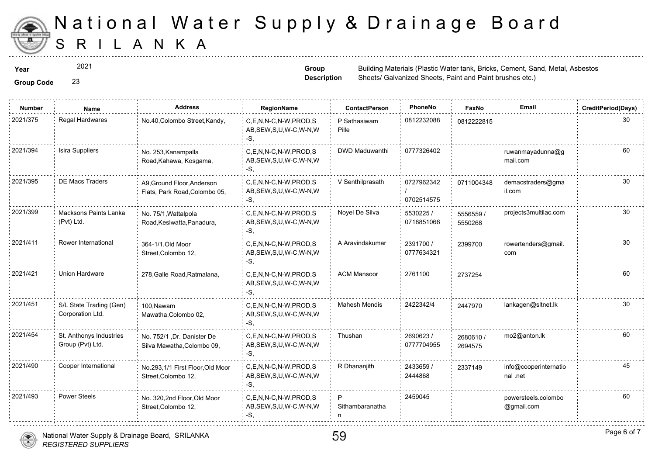

2021

**Group Description**

**Year** Building Materials (Plastic Water tank, Britan Materials (Plastic Water tank, Group Building Materials (Plastic Water tank, Sheets/ Galvanized Sheets, Paint and

**Group Code** 23

| <b>Number</b> | Name                                        | <b>Address</b>                                              | <b>RegionName</b>                                         | <b>ContactPerson</b>  | PhoneNo                  | Faxl             |
|---------------|---------------------------------------------|-------------------------------------------------------------|-----------------------------------------------------------|-----------------------|--------------------------|------------------|
| 2021/375      | <b>Regal Hardwares</b>                      | No.40, Colombo Street, Kandy,                               | C,E,N,N-C,N-W,PROD,S<br>AB, SEW, S, U, W-C, W-N, W<br>-S. | P Sathasiwam<br>Pille | 0812232088               | 081222           |
| 2021/394      | Isira Suppliers                             | No. 253, Kanampalla<br>Road, Kahawa, Kosgama,               | C.E.N.N-C.N-W.PROD.S<br>AB, SEW, S, U, W-C, W-N, W<br>-S. | DWD Maduwanthi        | 0777326402               |                  |
| 2021/395      | <b>DE Macs Traders</b>                      | A9, Ground Floor, Anderson<br>Flats, Park Road, Colombo 05, | C,E,N,N-C,N-W,PROD,S<br>AB, SEW, S, U, W-C, W-N, W<br>-S. | V Senthilprasath      | 0727962342<br>0702514575 | 071100           |
| 2021/399      | Macksons Paints Lanka<br>(Pvt) Ltd.         | No. 75/1, Wattalpola<br>Road, Keslwatta, Panadura,          | C,E,N,N-C,N-W,PROD,S<br>AB, SEW, S, U, W-C, W-N, W<br>-S. | Noyel De Silva        | 5530225 /<br>0718851066  | 555655<br>555026 |
| 2021/411      | Rower International                         | 364-1/1, Old Moor<br>Street, Colombo 12,                    | C,E,N,N-C,N-W,PROD,S<br>AB, SEW, S, U, W-C, W-N, W<br>-S. | A Aravindakumar       | 2391700 /<br>0777634321  | 239970           |
| 2021/421      | Union Hardware                              | 278, Galle Road, Ratmalana,                                 | C.E.N.N-C.N-W.PROD.S<br>AB, SEW, S, U, W-C, W-N, W<br>-S. | <b>ACM Mansoor</b>    | 2761100                  | 273725           |
| 2021/451      | S/L State Trading (Gen)<br>Corporation Ltd. | 100, Nawam<br>Mawatha, Colombo 02,                          | C.E.N.N-C.N-W.PROD.S<br>AB, SEW, S, U, W-C, W-N, W<br>-S. | <b>Mahesh Mendis</b>  | 2422342/4                | 244797           |
| 2021/454      | St. Anthonys Industries<br>Group (Pvt) Ltd. | No. 752/1, Dr. Danister De<br>Silva Mawatha, Colombo 09,    | C.E.N.N-C.N-W.PROD.S<br>AB, SEW, S, U, W-C, W-N, W<br>-S. | Thushan               | 2690623/<br>0777704955   | 26806<br>269457  |
| 2021/490      | Cooper International                        | No.293,1/1 First Floor, Old Moor<br>Street, Colombo 12,     | C,E,N,N-C,N-W,PROD,S<br>AB, SEW, S, U, W-C, W-N, W<br>-S, | R Dhananjith          | 2433659 /<br>2444868     | 233714           |
| 2021/493      | <b>Power Steels</b>                         | No. 320,2nd Floor,Old Moor<br>Street, Colombo 12,           | C,E,N,N-C,N-W,PROD,S<br>AB, SEW, S, U, W-C, W-N, W<br>-S, | P<br>Sithambaranatha  | 2459045                  |                  |



59